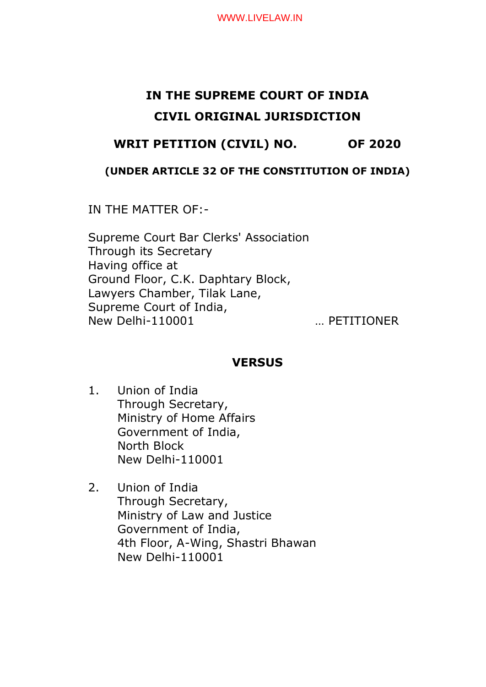# **IN THE SUPREME COURT OF INDIA CIVIL ORIGINAL JURISDICTION**

# **WRIT PETITION (CIVIL) NO. OF 2020**

### **(UNDER ARTICLE 32 OF THE CONSTITUTION OF INDIA)**

IN THE MATTER OF:-

Supreme Court Bar Clerks' Association Through its Secretary Having office at Ground Floor, C.K. Daphtary Block, Lawyers Chamber, Tilak Lane, Supreme Court of India, New Delhi-110001 … PETITIONER

## **VERSUS**

- 1. Union of India Through Secretary, Ministry of Home Affairs Government of India, North Block New Delhi-110001
- 2. Union of India Through Secretary, Ministry of Law and Justice Government of India, 4th Floor, A-Wing, Shastri Bhawan New Delhi-110001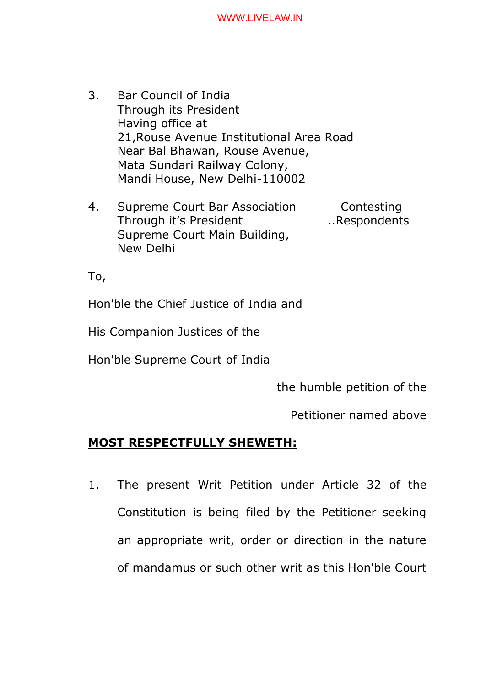- 3. Bar Council of India Through its President Having office at 21,Rouse Avenue Institutional Area Road Near Bal Bhawan, Rouse Avenue, Mata Sundari Railway Colony, Mandi House, New Delhi-110002
- 4. Supreme Court Bar Association Contesting Through it's President ... Respondents Supreme Court Main Building, New Delhi

To,

Hon'ble the Chief Justice of India and

His Companion Justices of the

Hon'ble Supreme Court of India

the humble petition of the

Petitioner named above

# **MOST RESPECTFULLY SHEWETH:**

1. The present Writ Petition under Article 32 of the Constitution is being filed by the Petitioner seeking an appropriate writ, order or direction in the nature of mandamus or such other writ as this Hon'ble Court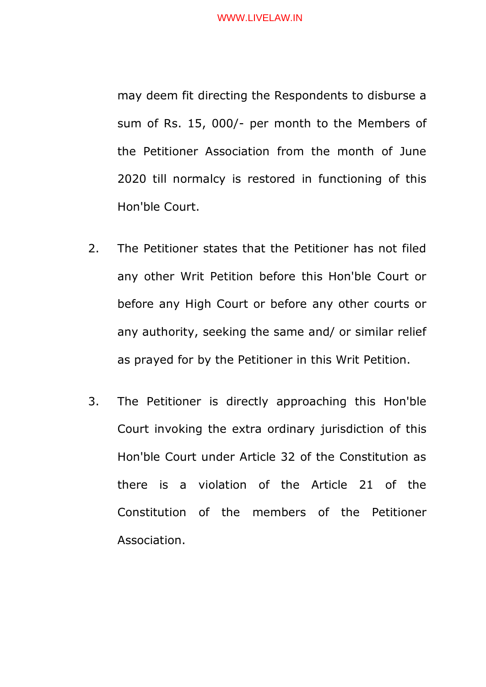may deem fit directing the Respondents to disburse a sum of Rs. 15, 000/- per month to the Members of the Petitioner Association from the month of June 2020 till normalcy is restored in functioning of this Hon'ble Court.

- 2. The Petitioner states that the Petitioner has not filed any other Writ Petition before this Hon'ble Court or before any High Court or before any other courts or any authority, seeking the same and/ or similar relief as prayed for by the Petitioner in this Writ Petition.
- 3. The Petitioner is directly approaching this Hon'ble Court invoking the extra ordinary jurisdiction of this Hon'ble Court under Article 32 of the Constitution as there is a violation of the Article 21 of the Constitution of the members of the Petitioner Association.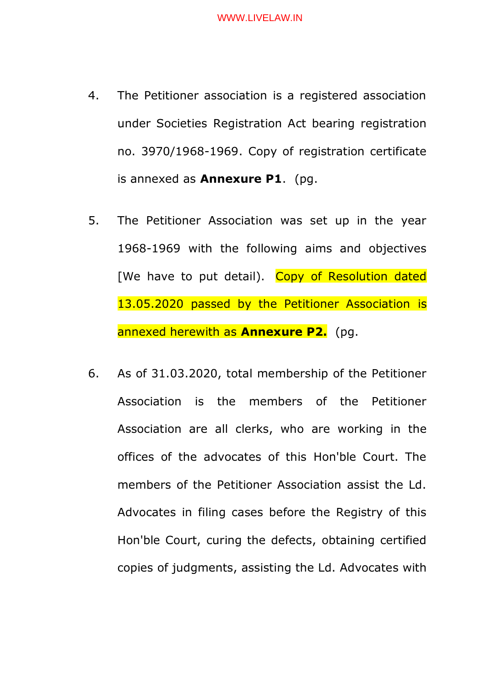- 4. The Petitioner association is a registered association under Societies Registration Act bearing registration no. 3970/1968-1969. Copy of registration certificate is annexed as **Annexure P1**. (pg.
- 5. The Petitioner Association was set up in the year 1968-1969 with the following aims and objectives [We have to put detail). Copy of Resolution dated 13.05.2020 passed by the Petitioner Association is annexed herewith as **Annexure P2.** (pg.
- 6. As of 31.03.2020, total membership of the Petitioner Association is the members of the Petitioner Association are all clerks, who are working in the offices of the advocates of this Hon'ble Court. The members of the Petitioner Association assist the Ld. Advocates in filing cases before the Registry of this Hon'ble Court, curing the defects, obtaining certified copies of judgments, assisting the Ld. Advocates with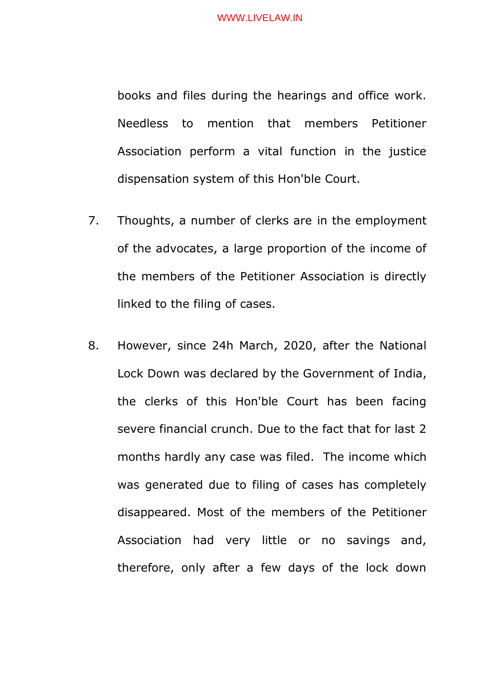books and files during the hearings and office work. Needless to mention that members Petitioner Association perform a vital function in the justice dispensation system of this Hon'ble Court.

- 7. Thoughts, a number of clerks are in the employment of the advocates, a large proportion of the income of the members of the Petitioner Association is directly linked to the filing of cases.
- 8. However, since 24h March, 2020, after the National Lock Down was declared by the Government of India, the clerks of this Hon'ble Court has been facing severe financial crunch. Due to the fact that for last 2 months hardly any case was filed. The income which was generated due to filing of cases has completely disappeared. Most of the members of the Petitioner Association had very little or no savings and, therefore, only after a few days of the lock down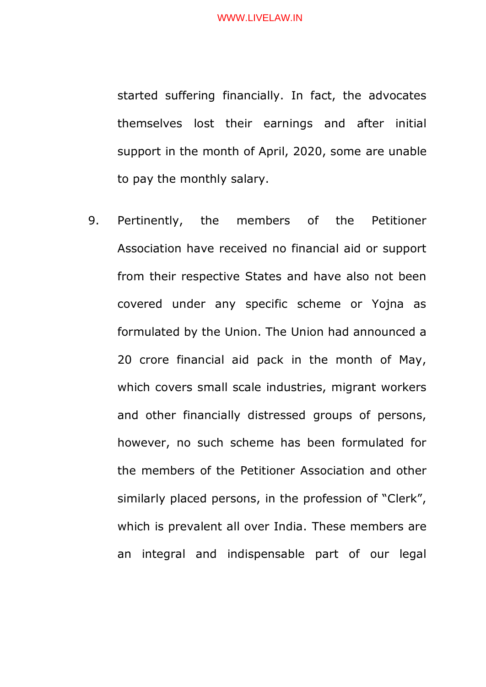started suffering financially. In fact, the advocates themselves lost their earnings and after initial support in the month of April, 2020, some are unable to pay the monthly salary.

9. Pertinently, the members of the Petitioner Association have received no financial aid or support from their respective States and have also not been covered under any specific scheme or Yojna as formulated by the Union. The Union had announced a 20 crore financial aid pack in the month of May, which covers small scale industries, migrant workers and other financially distressed groups of persons, however, no such scheme has been formulated for the members of the Petitioner Association and other similarly placed persons, in the profession of "Clerk", which is prevalent all over India. These members are an integral and indispensable part of our legal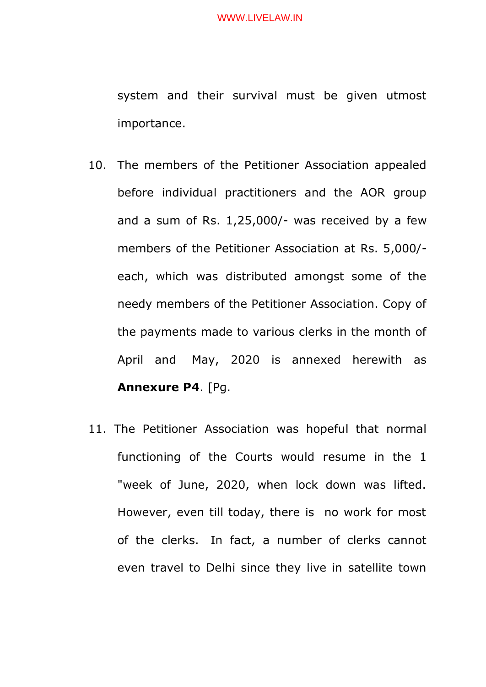system and their survival must be given utmost importance.

- 10. The members of the Petitioner Association appealed before individual practitioners and the AOR group and a sum of Rs. 1,25,000/- was received by a few members of the Petitioner Association at Rs. 5,000/ each, which was distributed amongst some of the needy members of the Petitioner Association. Copy of the payments made to various clerks in the month of April and May, 2020 is annexed herewith as **Annexure P4**. [Pg.
- 11. The Petitioner Association was hopeful that normal functioning of the Courts would resume in the 1 "week of June, 2020, when lock down was lifted. However, even till today, there is no work for most of the clerks. In fact, a number of clerks cannot even travel to Delhi since they live in satellite town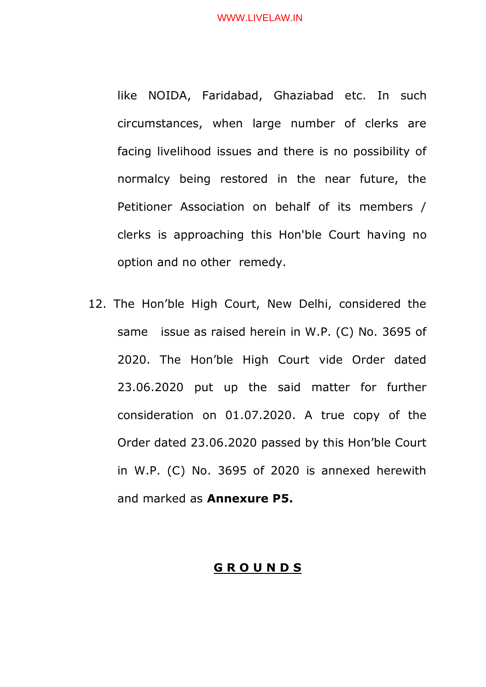like NOIDA, Faridabad, Ghaziabad etc. In such circumstances, when large number of clerks are facing livelihood issues and there is no possibility of normalcy being restored in the near future, the Petitioner Association on behalf of its members / clerks is approaching this Hon'ble Court having no option and no other remedy.

12. The Hon'ble High Court, New Delhi, considered the same issue as raised herein in W.P. (C) No. 3695 of 2020. The Hon'ble High Court vide Order dated 23.06.2020 put up the said matter for further consideration on 01.07.2020. A true copy of the Order dated 23.06.2020 passed by this Hon'ble Court in W.P. (C) No. 3695 of 2020 is annexed herewith and marked as **Annexure P5.**

### **G R O U N D S**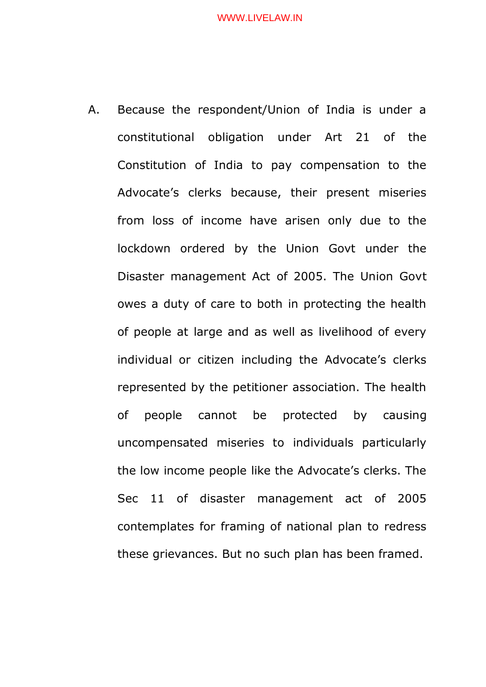A. Because the respondent/Union of India is under a constitutional obligation under Art 21 of the Constitution of India to pay compensation to the Advocate's clerks because, their present miseries from loss of income have arisen only due to the lockdown ordered by the Union Govt under the Disaster management Act of 2005. The Union Govt owes a duty of care to both in protecting the health of people at large and as well as livelihood of every individual or citizen including the Advocate's clerks represented by the petitioner association. The health of people cannot be protected by causing uncompensated miseries to individuals particularly the low income people like the Advocate's clerks. The Sec 11 of disaster management act of 2005 contemplates for framing of national plan to redress these grievances. But no such plan has been framed.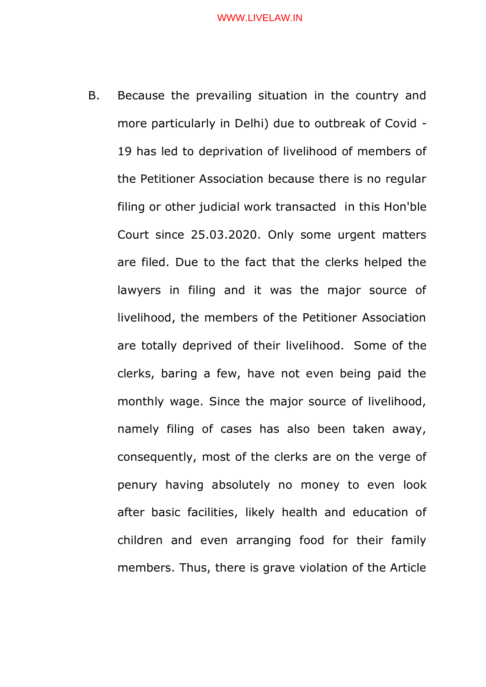B. Because the prevailing situation in the country and more particularly in Delhi) due to outbreak of Covid - 19 has led to deprivation of livelihood of members of the Petitioner Association because there is no regular filing or other judicial work transacted in this Hon'ble Court since 25.03.2020. Only some urgent matters are filed. Due to the fact that the clerks helped the lawyers in filing and it was the major source of livelihood, the members of the Petitioner Association are totally deprived of their livelihood. Some of the clerks, baring a few, have not even being paid the monthly wage. Since the major source of livelihood, namely filing of cases has also been taken away, consequently, most of the clerks are on the verge of penury having absolutely no money to even look after basic facilities, likely health and education of children and even arranging food for their family members. Thus, there is grave violation of the Article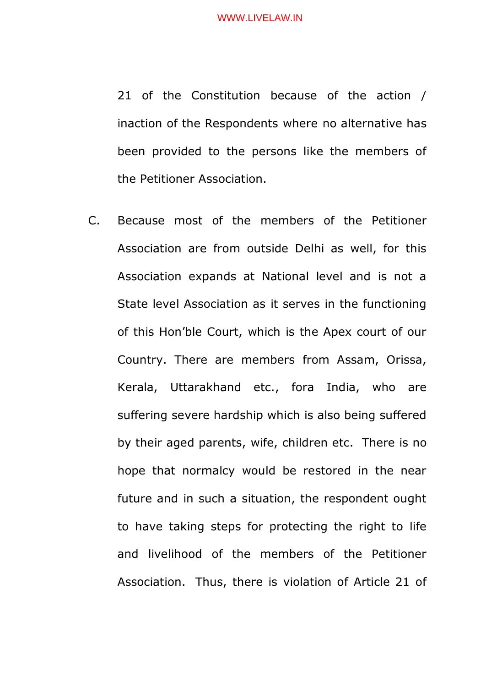21 of the Constitution because of the action / inaction of the Respondents where no alternative has been provided to the persons like the members of the Petitioner Association.

C. Because most of the members of the Petitioner Association are from outside Delhi as well, for this Association expands at National level and is not a State level Association as it serves in the functioning of this Hon'ble Court, which is the Apex court of our Country. There are members from Assam, Orissa, Kerala, Uttarakhand etc., fora India, who are suffering severe hardship which is also being suffered by their aged parents, wife, children etc. There is no hope that normalcy would be restored in the near future and in such a situation, the respondent ought to have taking steps for protecting the right to life and livelihood of the members of the Petitioner Association. Thus, there is violation of Article 21 of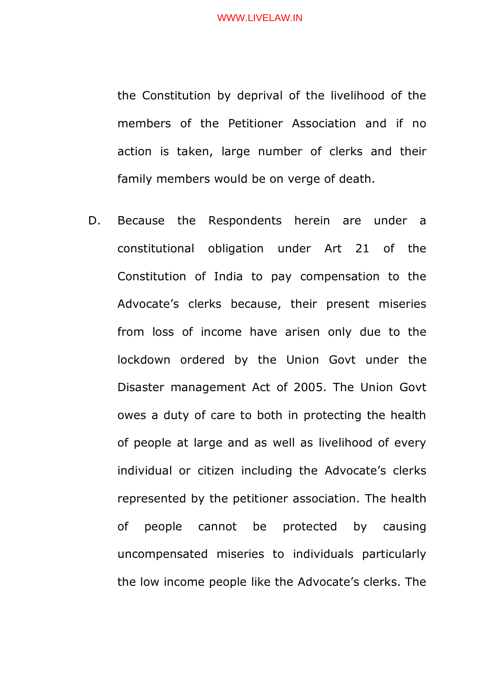the Constitution by deprival of the livelihood of the members of the Petitioner Association and if no action is taken, large number of clerks and their family members would be on verge of death.

D. Because the Respondents herein are under a constitutional obligation under Art 21 of the Constitution of India to pay compensation to the Advocate's clerks because, their present miseries from loss of income have arisen only due to the lockdown ordered by the Union Govt under the Disaster management Act of 2005. The Union Govt owes a duty of care to both in protecting the health of people at large and as well as livelihood of every individual or citizen including the Advocate's clerks represented by the petitioner association. The health of people cannot be protected by causing uncompensated miseries to individuals particularly the low income people like the Advocate's clerks. The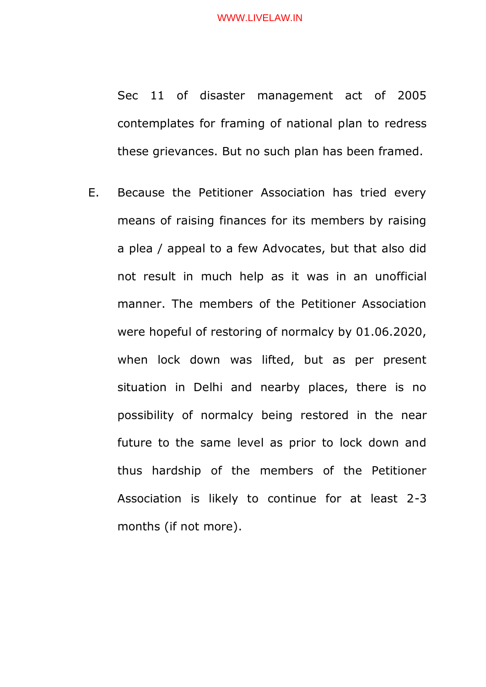Sec 11 of disaster management act of 2005 contemplates for framing of national plan to redress these grievances. But no such plan has been framed.

E. Because the Petitioner Association has tried every means of raising finances for its members by raising a plea / appeal to a few Advocates, but that also did not result in much help as it was in an unofficial manner. The members of the Petitioner Association were hopeful of restoring of normalcy by 01.06.2020, when lock down was lifted, but as per present situation in Delhi and nearby places, there is no possibility of normalcy being restored in the near future to the same level as prior to lock down and thus hardship of the members of the Petitioner Association is likely to continue for at least 2-3 months (if not more).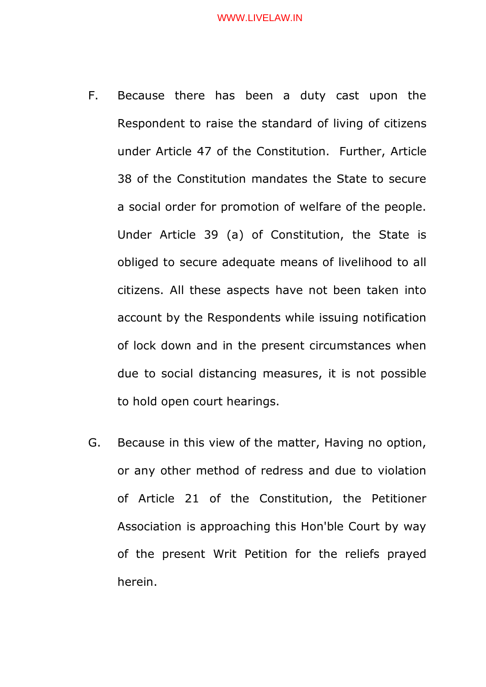- F. Because there has been a duty cast upon the Respondent to raise the standard of living of citizens under Article 47 of the Constitution. Further, Article 38 of the Constitution mandates the State to secure a social order for promotion of welfare of the people. Under Article 39 (a) of Constitution, the State is obliged to secure adequate means of livelihood to all citizens. All these aspects have not been taken into account by the Respondents while issuing notification of lock down and in the present circumstances when due to social distancing measures, it is not possible to hold open court hearings.
- G. Because in this view of the matter, Having no option, or any other method of redress and due to violation of Article 21 of the Constitution, the Petitioner Association is approaching this Hon'ble Court by way of the present Writ Petition for the reliefs prayed herein.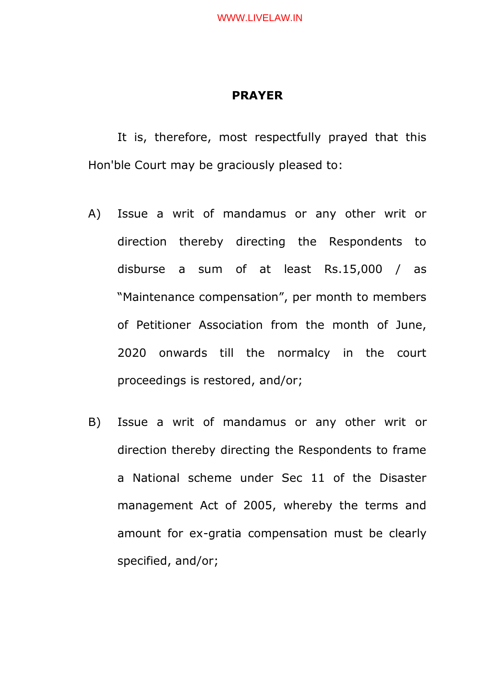### **PRAYER**

It is, therefore, most respectfully prayed that this Hon'ble Court may be graciously pleased to:

- A) Issue a writ of mandamus or any other writ or direction thereby directing the Respondents to disburse a sum of at least Rs.15,000 / as "Maintenance compensation", per month to members of Petitioner Association from the month of June, 2020 onwards till the normalcy in the court proceedings is restored, and/or;
- B) Issue a writ of mandamus or any other writ or direction thereby directing the Respondents to frame a National scheme under Sec 11 of the Disaster management Act of 2005, whereby the terms and amount for ex-gratia compensation must be clearly specified, and/or;